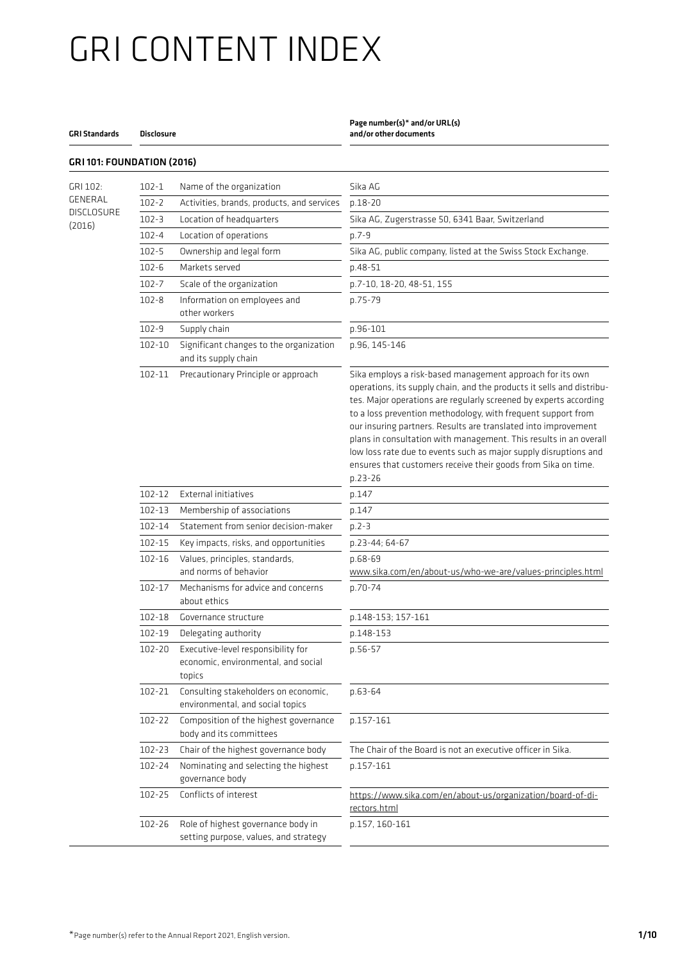#### GRI Standards Disclosure

GRI 101: FOUNDATION (2016)

### Page number(s)\* and/or URL(s)

and/or other documents

| GRI 102:          | $102 - 1$  | Name of the organization                                                            | Sika AG                                                                                                                                                                                                                                                                                                                                                                                                                                                                                                                                                            |
|-------------------|------------|-------------------------------------------------------------------------------------|--------------------------------------------------------------------------------------------------------------------------------------------------------------------------------------------------------------------------------------------------------------------------------------------------------------------------------------------------------------------------------------------------------------------------------------------------------------------------------------------------------------------------------------------------------------------|
| GENERAL           | $102 - 2$  | Activities, brands, products, and services                                          | $p.18 - 20$                                                                                                                                                                                                                                                                                                                                                                                                                                                                                                                                                        |
| <b>DISCLOSURE</b> | $102 - 3$  | Location of headquarters                                                            | Sika AG, Zugerstrasse 50, 6341 Baar, Switzerland                                                                                                                                                                                                                                                                                                                                                                                                                                                                                                                   |
| (2016)            | $102 - 4$  | Location of operations                                                              | p.7-9                                                                                                                                                                                                                                                                                                                                                                                                                                                                                                                                                              |
|                   | $102 - 5$  | Ownership and legal form                                                            | Sika AG, public company, listed at the Swiss Stock Exchange.                                                                                                                                                                                                                                                                                                                                                                                                                                                                                                       |
|                   | $102 - 6$  | Markets served                                                                      | p.48-51                                                                                                                                                                                                                                                                                                                                                                                                                                                                                                                                                            |
|                   | $102 - 7$  | Scale of the organization                                                           | p.7-10, 18-20, 48-51, 155                                                                                                                                                                                                                                                                                                                                                                                                                                                                                                                                          |
|                   | $102 - 8$  | Information on employees and<br>other workers                                       | p.75-79                                                                                                                                                                                                                                                                                                                                                                                                                                                                                                                                                            |
|                   | $102 - 9$  | Supply chain                                                                        | p.96-101                                                                                                                                                                                                                                                                                                                                                                                                                                                                                                                                                           |
|                   | 102-10     | Significant changes to the organization<br>and its supply chain                     | p.96, 145-146                                                                                                                                                                                                                                                                                                                                                                                                                                                                                                                                                      |
|                   | 102-11     | Precautionary Principle or approach                                                 | Sika employs a risk-based management approach for its own<br>operations, its supply chain, and the products it sells and distribu-<br>tes. Major operations are regularly screened by experts according<br>to a loss prevention methodology, with frequent support from<br>our insuring partners. Results are translated into improvement<br>plans in consultation with management. This results in an overall<br>low loss rate due to events such as major supply disruptions and<br>ensures that customers receive their goods from Sika on time.<br>$p.23 - 26$ |
|                   | $102 - 12$ | External initiatives                                                                | p.147                                                                                                                                                                                                                                                                                                                                                                                                                                                                                                                                                              |
|                   | 102-13     | Membership of associations                                                          | p.147                                                                                                                                                                                                                                                                                                                                                                                                                                                                                                                                                              |
|                   | 102-14     | Statement from senior decision-maker                                                | $p.2 - 3$                                                                                                                                                                                                                                                                                                                                                                                                                                                                                                                                                          |
|                   | 102-15     | Key impacts, risks, and opportunities                                               | p.23-44; 64-67                                                                                                                                                                                                                                                                                                                                                                                                                                                                                                                                                     |
|                   | 102-16     | Values, principles, standards,<br>and norms of behavior                             | $p.68-69$<br>www.sika.com/en/about-us/who-we-are/values-principles.html                                                                                                                                                                                                                                                                                                                                                                                                                                                                                            |
|                   | 102-17     | Mechanisms for advice and concerns<br>about ethics                                  | p.70-74                                                                                                                                                                                                                                                                                                                                                                                                                                                                                                                                                            |
|                   | 102-18     | Governance structure                                                                | p.148-153; 157-161                                                                                                                                                                                                                                                                                                                                                                                                                                                                                                                                                 |
|                   | 102-19     | Delegating authority                                                                | p.148-153                                                                                                                                                                                                                                                                                                                                                                                                                                                                                                                                                          |
|                   | 102-20     | Executive-level responsibility for<br>economic, environmental, and social<br>topics | p.56-57                                                                                                                                                                                                                                                                                                                                                                                                                                                                                                                                                            |
|                   | 102-21     | Consulting stakeholders on economic,<br>environmental, and social topics            | p.63-64                                                                                                                                                                                                                                                                                                                                                                                                                                                                                                                                                            |
|                   | 102-22     | Composition of the highest governance<br>body and its committees                    | p.157-161                                                                                                                                                                                                                                                                                                                                                                                                                                                                                                                                                          |
|                   | 102-23     | Chair of the highest governance body                                                | The Chair of the Board is not an executive officer in Sika.                                                                                                                                                                                                                                                                                                                                                                                                                                                                                                        |
|                   | 102-24     | Nominating and selecting the highest<br>governance body                             | p.157-161                                                                                                                                                                                                                                                                                                                                                                                                                                                                                                                                                          |
|                   | $102 - 25$ | Conflicts of interest                                                               | https://www.sika.com/en/about-us/organization/board-of-di-<br>rectors.html                                                                                                                                                                                                                                                                                                                                                                                                                                                                                         |
|                   | 102-26     | Role of highest governance body in<br>setting purpose, values, and strategy         | p.157, 160-161                                                                                                                                                                                                                                                                                                                                                                                                                                                                                                                                                     |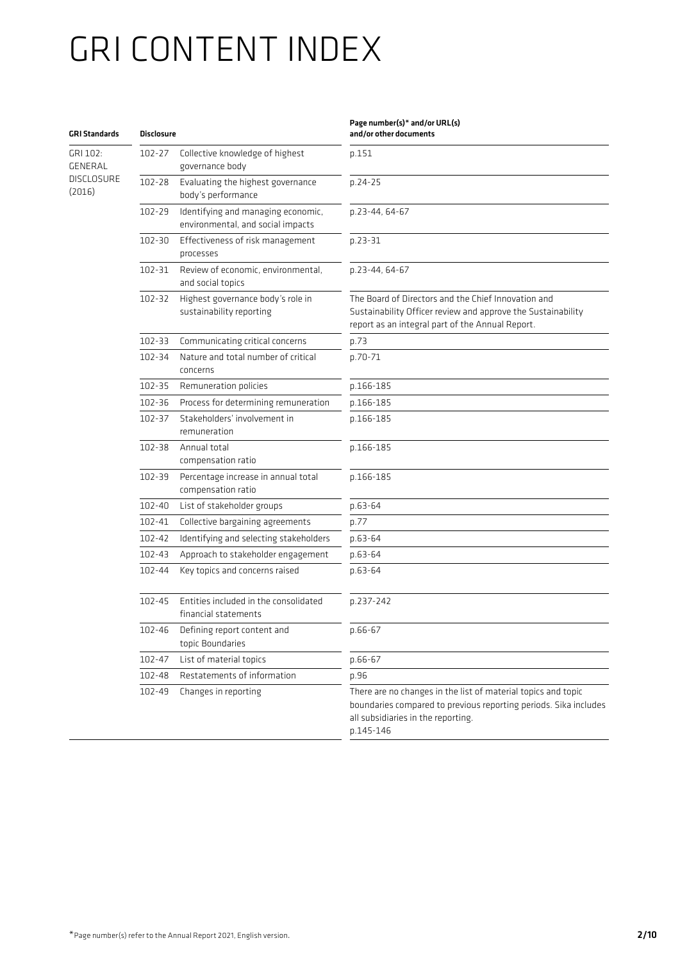#### GRI Standards Disclosure

GRI 102: GENERAL DISCLOSURE (2016)

| <b>Disclosure</b> |                                                                         | and/or other documents                                                                                                                                                               |
|-------------------|-------------------------------------------------------------------------|--------------------------------------------------------------------------------------------------------------------------------------------------------------------------------------|
| 102-27            | Collective knowledge of highest<br>governance body                      | p.151                                                                                                                                                                                |
| 102-28            | Evaluating the highest governance<br>body's performance                 | p.24-25                                                                                                                                                                              |
| 102-29            | Identifying and managing economic,<br>environmental, and social impacts | p.23-44, 64-67                                                                                                                                                                       |
| 102-30            | Effectiveness of risk management<br>processes                           | p.23-31                                                                                                                                                                              |
| 102-31            | Review of economic, environmental,<br>and social topics                 | p.23-44, 64-67                                                                                                                                                                       |
| 102-32            | Highest governance body's role in<br>sustainability reporting           | The Board of Directors and the Chief Innovation and<br>Sustainability Officer review and approve the Sustainability<br>report as an integral part of the Annual Report.              |
| 102-33            | Communicating critical concerns                                         | p.73                                                                                                                                                                                 |
| 102-34            | Nature and total number of critical<br>concerns                         | p.70-71                                                                                                                                                                              |
| 102-35            | Remuneration policies                                                   | p.166-185                                                                                                                                                                            |
| 102-36            | Process for determining remuneration                                    | p.166-185                                                                                                                                                                            |
| 102-37            | Stakeholders' involvement in<br>remuneration                            | p.166-185                                                                                                                                                                            |
| 102-38            | Annual total<br>compensation ratio                                      | p.166-185                                                                                                                                                                            |
| 102-39            | Percentage increase in annual total<br>compensation ratio               | p.166-185                                                                                                                                                                            |
| 102-40            | List of stakeholder groups                                              | p.63-64                                                                                                                                                                              |
| 102-41            | Collective bargaining agreements                                        | p.77                                                                                                                                                                                 |
| 102-42            | Identifying and selecting stakeholders                                  | p.63-64                                                                                                                                                                              |
| 102-43            | Approach to stakeholder engagement                                      | p.63-64                                                                                                                                                                              |
| 102-44            | Key topics and concerns raised                                          | p.63-64                                                                                                                                                                              |
| 102-45            | Entities included in the consolidated<br>financial statements           | p.237-242                                                                                                                                                                            |
| 102-46            | Defining report content and<br>topic Boundaries                         | p.66-67                                                                                                                                                                              |
| 102-47            | List of material topics                                                 | p.66-67                                                                                                                                                                              |
| 102-48            | Restatements of information                                             | p.96                                                                                                                                                                                 |
| 102-49            | Changes in reporting                                                    | There are no changes in the list of material topics and topic<br>boundaries compared to previous reporting periods. Sika includes<br>all subsidiaries in the reporting.<br>p.145-146 |

Page number(s)\* and/or URL(s)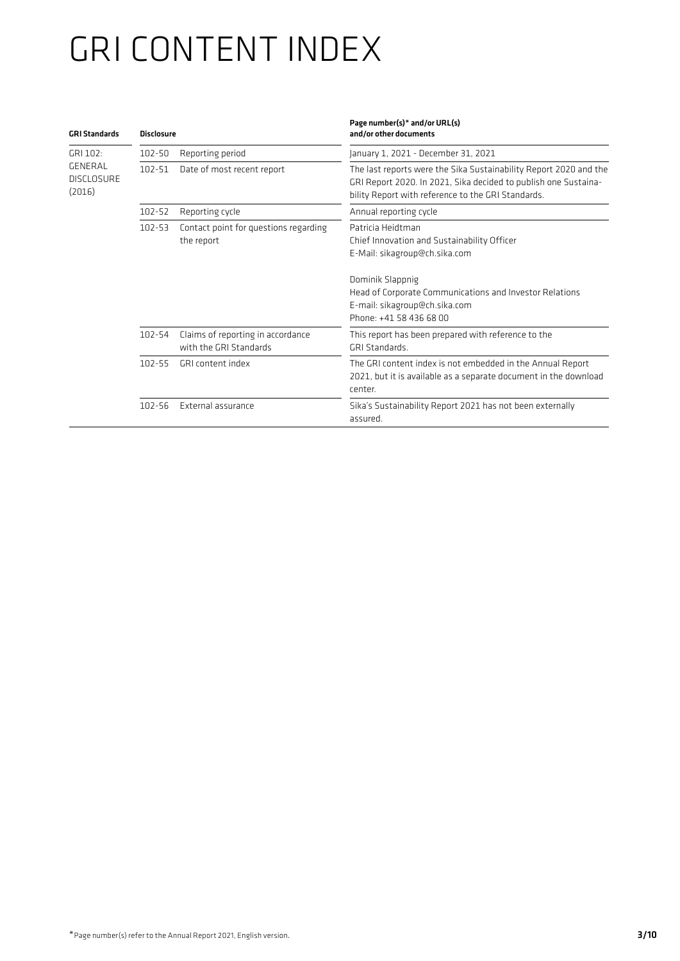| <b>GRI Standards</b>                   | <b>Disclosure</b> |                                                             | Page number(s)* and/or URL(s)<br>and/or other documents                                                                                                                                                                                      |
|----------------------------------------|-------------------|-------------------------------------------------------------|----------------------------------------------------------------------------------------------------------------------------------------------------------------------------------------------------------------------------------------------|
| GRI 102:                               | $102 - 50$        | Reporting period                                            | January 1, 2021 - December 31, 2021                                                                                                                                                                                                          |
| GENERAL<br><b>DISCLOSURE</b><br>(2016) | $102 - 51$        | Date of most recent report                                  | The last reports were the Sika Sustainability Report 2020 and the<br>GRI Report 2020. In 2021, Sika decided to publish one Sustaina-<br>bility Report with reference to the GRI Standards.                                                   |
|                                        | 102-52            | Reporting cycle                                             | Annual reporting cycle                                                                                                                                                                                                                       |
|                                        | $102 - 53$        | Contact point for questions regarding<br>the report         | Patricia Heidtman<br>Chief Innovation and Sustainability Officer<br>E-Mail: sikagroup@ch.sika.com<br>Dominik Slappnig<br>Head of Corporate Communications and Investor Relations<br>E-mail: sikagroup@ch.sika.com<br>Phone: +41 58 436 68 00 |
|                                        | 102-54            | Claims of reporting in accordance<br>with the GRI Standards | This report has been prepared with reference to the<br>GRI Standards.                                                                                                                                                                        |
|                                        | $102 - 55$        | GRI content index                                           | The GRI content index is not embedded in the Annual Report<br>2021, but it is available as a separate document in the download<br>center.                                                                                                    |
|                                        | $102 - 56$        | External assurance                                          | Sika's Sustainability Report 2021 has not been externally<br>assured.                                                                                                                                                                        |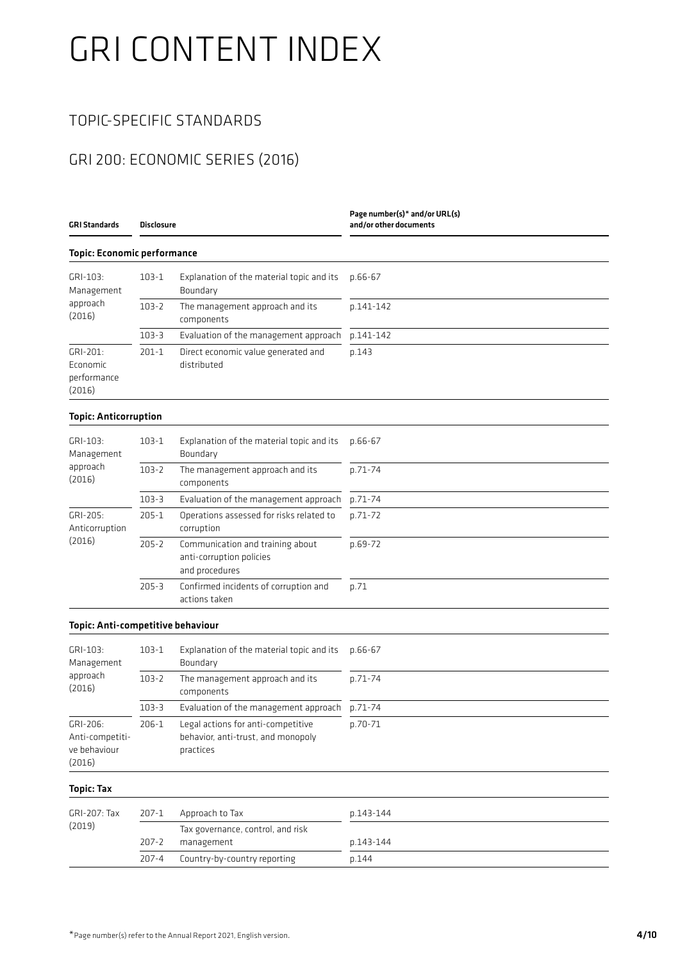### TOPIC-SPECIFIC STANDARDS

### GRI 200: ECONOMIC SERIES (2016)

| GRI Standards                                         | <b>Disclosure</b> |                                                                                       | Page number(s)* and/or URL(s)<br>and/or other documents |
|-------------------------------------------------------|-------------------|---------------------------------------------------------------------------------------|---------------------------------------------------------|
| <b>Topic: Economic performance</b>                    |                   |                                                                                       |                                                         |
| GRI-103:<br>Management                                | $103-1$           | Explanation of the material topic and its<br>Boundary                                 | $p.66 - 67$                                             |
| approach<br>(2016)                                    | $103 - 2$         | The management approach and its<br>components                                         | p.141-142                                               |
|                                                       | $103 - 3$         | Evaluation of the management approach                                                 | p.141-142                                               |
| GRI-201:<br>Economic<br>performance<br>(2016)         | $201 - 1$         | Direct economic value generated and<br>distributed                                    | p.143                                                   |
| <b>Topic: Anticorruption</b>                          |                   |                                                                                       |                                                         |
| GRI-103:<br>Management                                | $103 - 1$         | Explanation of the material topic and its<br>Boundary                                 | p.66-67                                                 |
| approach<br>(2016)                                    | $103 - 2$         | The management approach and its<br>components                                         | p.71-74                                                 |
|                                                       | $103 - 3$         | Evaluation of the management approach                                                 | p.71-74                                                 |
| GRI-205:<br>Anticorruption<br>(2016)                  | $205 - 1$         | Operations assessed for risks related to<br>corruption                                | p.71-72                                                 |
|                                                       | $205 - 2$         | Communication and training about<br>anti-corruption policies<br>and procedures        | p.69-72                                                 |
|                                                       | $205 - 3$         | Confirmed incidents of corruption and<br>actions taken                                | p.71                                                    |
| Topic: Anti-competitive behaviour                     |                   |                                                                                       |                                                         |
| GRI-103:<br>Management                                | $103 - 1$         | Explanation of the material topic and its<br>Boundary                                 | $p.66 - 67$                                             |
| approach<br>(2016)                                    | $103 - 2$         | The management approach and its<br>components                                         | p.71-74                                                 |
|                                                       | $103 - 3$         | Evaluation of the management approach                                                 | p.71-74                                                 |
| GRI-206:<br>Anti-competiti-<br>ve behaviour<br>(2016) | 206-1             | Legal actions for anti-competitive<br>behavior, anti-trust, and monopoly<br>practices | p.70-71                                                 |
| <b>Topic: Tax</b>                                     |                   |                                                                                       |                                                         |
| GRI-207: Tax                                          | $207 - 1$         | Approach to Tax                                                                       | p.143-144                                               |
| (2019)                                                | $207 - 2$         | Tax governance, control, and risk<br>management                                       | p.143-144                                               |
|                                                       | $207 - 4$         | Country-by-country reporting                                                          | p.144                                                   |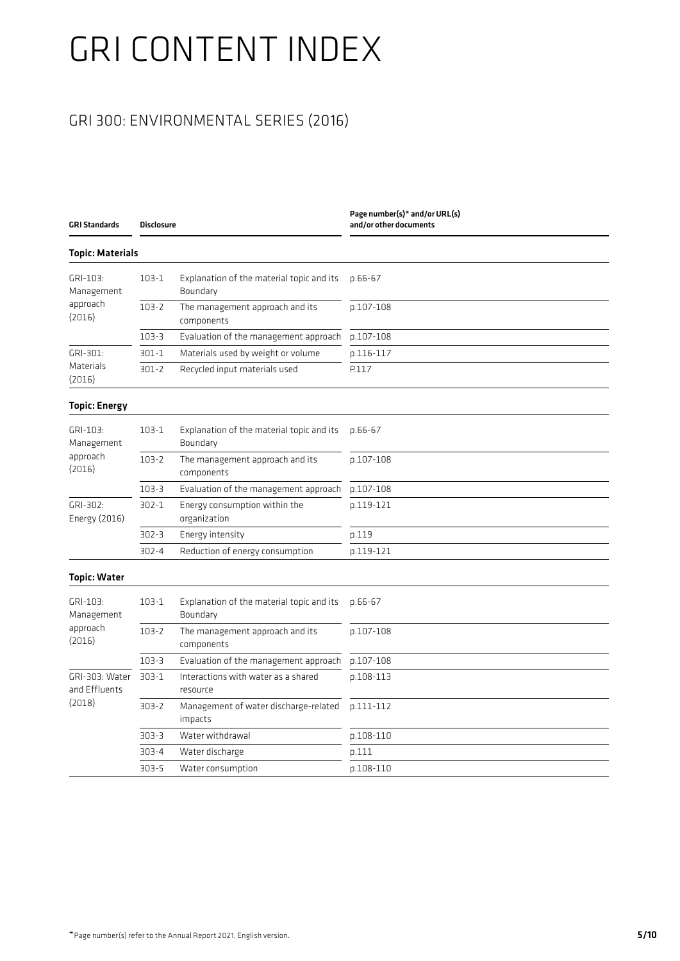### GRI 300: ENVIRONMENTAL SERIES (2016)

| <b>Topic: Materials</b><br>GRI-103:<br>$103-1$<br>Explanation of the material topic and its<br>p.66-67<br>Boundary<br>Management<br>approach<br>$103 - 2$<br>The management approach and its<br>p.107-108<br>(2016)<br>components<br>$103 - 3$<br>Evaluation of the management approach<br>p.107-108<br>GRI-301:<br>$301 - 1$<br>Materials used by weight or volume<br>p.116-117<br>Materials<br>$301 - 2$<br>Recycled input materials used<br>P.117<br>(2016)<br><b>Topic: Energy</b><br>GRI-103:<br>$103-1$<br>Explanation of the material topic and its<br>p.66-67<br>Boundary<br>Management<br>approach<br>$103 - 2$<br>The management approach and its<br>p.107-108<br>(2016)<br>components<br>$103 - 3$<br>Evaluation of the management approach<br>p.107-108<br>GRI-302:<br>$302 - 1$<br>Energy consumption within the<br>p.119-121<br>Energy (2016)<br>organization<br>$302 - 3$<br>p.119<br>Energy intensity<br>Reduction of energy consumption<br>$302 - 4$<br>p.119-121<br><b>Topic: Water</b><br>GRI-103:<br>$103-1$<br>Explanation of the material topic and its<br>p.66-67<br>Management<br>Boundary<br>approach<br>$103 - 2$<br>The management approach and its<br>p.107-108<br>(2016)<br>components<br>$103 - 3$<br>Evaluation of the management approach<br>p.107-108<br>GRI-303: Water<br>$303 - 1$<br>Interactions with water as a shared<br>p.108-113<br>and Effluents<br>resource<br>(2018)<br>$303 - 2$<br>Management of water discharge-related<br>p.111-112<br>impacts<br>$303 - 3$<br>Water withdrawal<br>p.108-110<br>303-4<br>Water discharge<br>p.111<br>$303 - 5$<br>Water consumption<br>p.108-110 | <b>GRI Standards</b> | <b>Disclosure</b> | Page number(s)* and/or URL(s)<br>and/or other documents |  |
|----------------------------------------------------------------------------------------------------------------------------------------------------------------------------------------------------------------------------------------------------------------------------------------------------------------------------------------------------------------------------------------------------------------------------------------------------------------------------------------------------------------------------------------------------------------------------------------------------------------------------------------------------------------------------------------------------------------------------------------------------------------------------------------------------------------------------------------------------------------------------------------------------------------------------------------------------------------------------------------------------------------------------------------------------------------------------------------------------------------------------------------------------------------------------------------------------------------------------------------------------------------------------------------------------------------------------------------------------------------------------------------------------------------------------------------------------------------------------------------------------------------------------------------------------------------------------------------------------------------------------------|----------------------|-------------------|---------------------------------------------------------|--|
|                                                                                                                                                                                                                                                                                                                                                                                                                                                                                                                                                                                                                                                                                                                                                                                                                                                                                                                                                                                                                                                                                                                                                                                                                                                                                                                                                                                                                                                                                                                                                                                                                                  |                      |                   |                                                         |  |
|                                                                                                                                                                                                                                                                                                                                                                                                                                                                                                                                                                                                                                                                                                                                                                                                                                                                                                                                                                                                                                                                                                                                                                                                                                                                                                                                                                                                                                                                                                                                                                                                                                  |                      |                   |                                                         |  |
|                                                                                                                                                                                                                                                                                                                                                                                                                                                                                                                                                                                                                                                                                                                                                                                                                                                                                                                                                                                                                                                                                                                                                                                                                                                                                                                                                                                                                                                                                                                                                                                                                                  |                      |                   |                                                         |  |
|                                                                                                                                                                                                                                                                                                                                                                                                                                                                                                                                                                                                                                                                                                                                                                                                                                                                                                                                                                                                                                                                                                                                                                                                                                                                                                                                                                                                                                                                                                                                                                                                                                  |                      |                   |                                                         |  |
|                                                                                                                                                                                                                                                                                                                                                                                                                                                                                                                                                                                                                                                                                                                                                                                                                                                                                                                                                                                                                                                                                                                                                                                                                                                                                                                                                                                                                                                                                                                                                                                                                                  |                      |                   |                                                         |  |
|                                                                                                                                                                                                                                                                                                                                                                                                                                                                                                                                                                                                                                                                                                                                                                                                                                                                                                                                                                                                                                                                                                                                                                                                                                                                                                                                                                                                                                                                                                                                                                                                                                  |                      |                   |                                                         |  |
|                                                                                                                                                                                                                                                                                                                                                                                                                                                                                                                                                                                                                                                                                                                                                                                                                                                                                                                                                                                                                                                                                                                                                                                                                                                                                                                                                                                                                                                                                                                                                                                                                                  |                      |                   |                                                         |  |
|                                                                                                                                                                                                                                                                                                                                                                                                                                                                                                                                                                                                                                                                                                                                                                                                                                                                                                                                                                                                                                                                                                                                                                                                                                                                                                                                                                                                                                                                                                                                                                                                                                  |                      |                   |                                                         |  |
|                                                                                                                                                                                                                                                                                                                                                                                                                                                                                                                                                                                                                                                                                                                                                                                                                                                                                                                                                                                                                                                                                                                                                                                                                                                                                                                                                                                                                                                                                                                                                                                                                                  |                      |                   |                                                         |  |
|                                                                                                                                                                                                                                                                                                                                                                                                                                                                                                                                                                                                                                                                                                                                                                                                                                                                                                                                                                                                                                                                                                                                                                                                                                                                                                                                                                                                                                                                                                                                                                                                                                  |                      |                   |                                                         |  |
|                                                                                                                                                                                                                                                                                                                                                                                                                                                                                                                                                                                                                                                                                                                                                                                                                                                                                                                                                                                                                                                                                                                                                                                                                                                                                                                                                                                                                                                                                                                                                                                                                                  |                      |                   |                                                         |  |
|                                                                                                                                                                                                                                                                                                                                                                                                                                                                                                                                                                                                                                                                                                                                                                                                                                                                                                                                                                                                                                                                                                                                                                                                                                                                                                                                                                                                                                                                                                                                                                                                                                  |                      |                   |                                                         |  |
|                                                                                                                                                                                                                                                                                                                                                                                                                                                                                                                                                                                                                                                                                                                                                                                                                                                                                                                                                                                                                                                                                                                                                                                                                                                                                                                                                                                                                                                                                                                                                                                                                                  |                      |                   |                                                         |  |
|                                                                                                                                                                                                                                                                                                                                                                                                                                                                                                                                                                                                                                                                                                                                                                                                                                                                                                                                                                                                                                                                                                                                                                                                                                                                                                                                                                                                                                                                                                                                                                                                                                  |                      |                   |                                                         |  |
|                                                                                                                                                                                                                                                                                                                                                                                                                                                                                                                                                                                                                                                                                                                                                                                                                                                                                                                                                                                                                                                                                                                                                                                                                                                                                                                                                                                                                                                                                                                                                                                                                                  |                      |                   |                                                         |  |
|                                                                                                                                                                                                                                                                                                                                                                                                                                                                                                                                                                                                                                                                                                                                                                                                                                                                                                                                                                                                                                                                                                                                                                                                                                                                                                                                                                                                                                                                                                                                                                                                                                  |                      |                   |                                                         |  |
|                                                                                                                                                                                                                                                                                                                                                                                                                                                                                                                                                                                                                                                                                                                                                                                                                                                                                                                                                                                                                                                                                                                                                                                                                                                                                                                                                                                                                                                                                                                                                                                                                                  |                      |                   |                                                         |  |
|                                                                                                                                                                                                                                                                                                                                                                                                                                                                                                                                                                                                                                                                                                                                                                                                                                                                                                                                                                                                                                                                                                                                                                                                                                                                                                                                                                                                                                                                                                                                                                                                                                  |                      |                   |                                                         |  |
|                                                                                                                                                                                                                                                                                                                                                                                                                                                                                                                                                                                                                                                                                                                                                                                                                                                                                                                                                                                                                                                                                                                                                                                                                                                                                                                                                                                                                                                                                                                                                                                                                                  |                      |                   |                                                         |  |
|                                                                                                                                                                                                                                                                                                                                                                                                                                                                                                                                                                                                                                                                                                                                                                                                                                                                                                                                                                                                                                                                                                                                                                                                                                                                                                                                                                                                                                                                                                                                                                                                                                  |                      |                   |                                                         |  |
|                                                                                                                                                                                                                                                                                                                                                                                                                                                                                                                                                                                                                                                                                                                                                                                                                                                                                                                                                                                                                                                                                                                                                                                                                                                                                                                                                                                                                                                                                                                                                                                                                                  |                      |                   |                                                         |  |
|                                                                                                                                                                                                                                                                                                                                                                                                                                                                                                                                                                                                                                                                                                                                                                                                                                                                                                                                                                                                                                                                                                                                                                                                                                                                                                                                                                                                                                                                                                                                                                                                                                  |                      |                   |                                                         |  |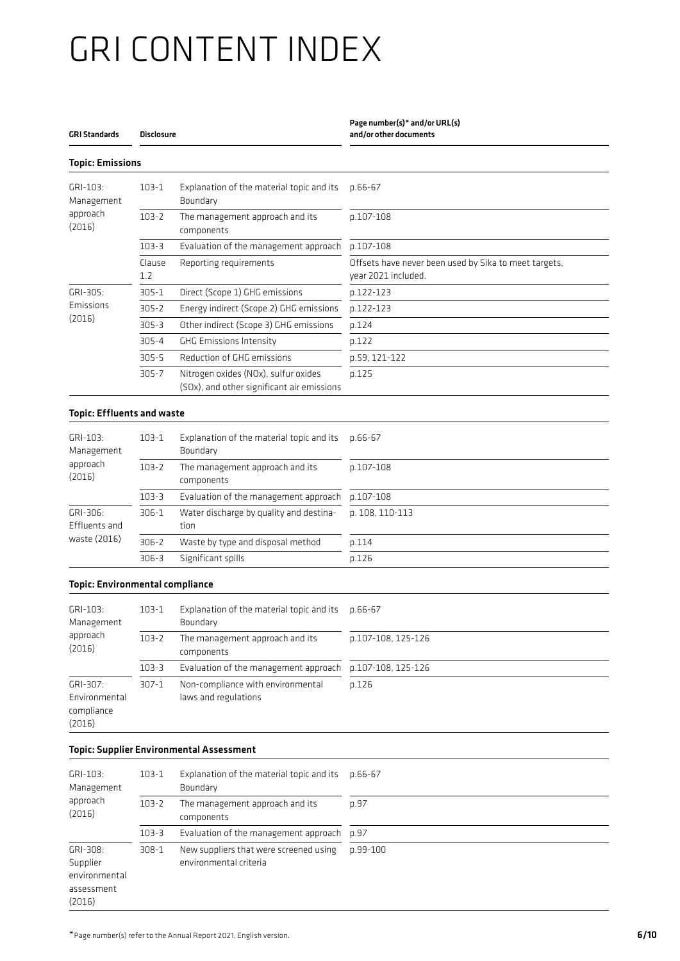| GRI Standards | Disclosure |
|---------------|------------|

#### .<br>Topic Emissio

### Page number(s)\* and/or URL(s)

and/or other documents

| $GRI-103:$<br>Management          | $103 - 1$     | Explanation of the material topic and its<br>Boundary                              | p.66-67                                                                      |
|-----------------------------------|---------------|------------------------------------------------------------------------------------|------------------------------------------------------------------------------|
| approach<br>(2016)                | $103 - 2$     | The management approach and its<br>components                                      | p.107-108                                                                    |
|                                   | $103 - 3$     | Evaluation of the management approach                                              | p.107-108                                                                    |
|                                   | Clause<br>1.2 | Reporting requirements                                                             | Offsets have never been used by Sika to meet targets,<br>year 2021 included. |
| GRI-305:                          | $305 - 1$     | Direct (Scope 1) GHG emissions                                                     | p.122-123                                                                    |
| Emissions                         | $305 - 2$     | Energy indirect (Scope 2) GHG emissions                                            | p.122-123                                                                    |
| (2016)                            | $305 - 3$     | Other indirect (Scope 3) GHG emissions                                             | p.124                                                                        |
|                                   | $305 - 4$     | <b>GHG Emissions Intensity</b>                                                     | p.122                                                                        |
|                                   | $305 - 5$     | Reduction of GHG emissions                                                         | p.59, 121-122                                                                |
|                                   | $305 - 7$     | Nitrogen oxides (NOx), sulfur oxides<br>(SOx), and other significant air emissions | p.125                                                                        |
| <b>Topic: Effluents and waste</b> |               |                                                                                    |                                                                              |
| $GRI-103:$<br>Management          | $103 - 1$     | Explanation of the material topic and its<br>Boundary                              | p.66-67                                                                      |
| approach<br>(2016)                | $103 - 2$     | The management approach and its<br>components                                      | p.107-108                                                                    |
|                                   | $103 - 3$     | Evaluation of the management approach                                              | p.107-108                                                                    |
| GRI-306:<br>Effluents and         | $306 - 1$     | Water discharge by quality and destina-<br>tion                                    | p. 108, 110-113                                                              |
| waste (2016)                      | $306 - 2$     | Waste by type and disposal method                                                  | p.114                                                                        |
|                                   | $306 - 3$     | Significant spills                                                                 | p.126                                                                        |

#### GRI-103: Management approach (2016) 103-1 Explanation of the material topic and its Boundary p.66-67 103-2 The management approach and its components p.107-108, 125-126 103-3 Evaluation of the management approach p.107-108, 125-126 GRI-307: Environmental compliance (2016) 307-1 Non-compliance with environmental laws and regulations p.126

#### Topic: Supplier Environmental Assessment

| GRI-103:<br>Management<br>approach<br>(2016)                  | $103-1$   | Explanation of the material topic and its<br>Boundary            | p.66-67  |  |
|---------------------------------------------------------------|-----------|------------------------------------------------------------------|----------|--|
|                                                               | $103 - 2$ | The management approach and its<br>components                    | p.97     |  |
|                                                               | $103 - 3$ | Evaluation of the management approach p.97                       |          |  |
| GRI-308:<br>Supplier<br>environmental<br>assessment<br>(2016) | $308 - 1$ | New suppliers that were screened using<br>environmental criteria | p.99-100 |  |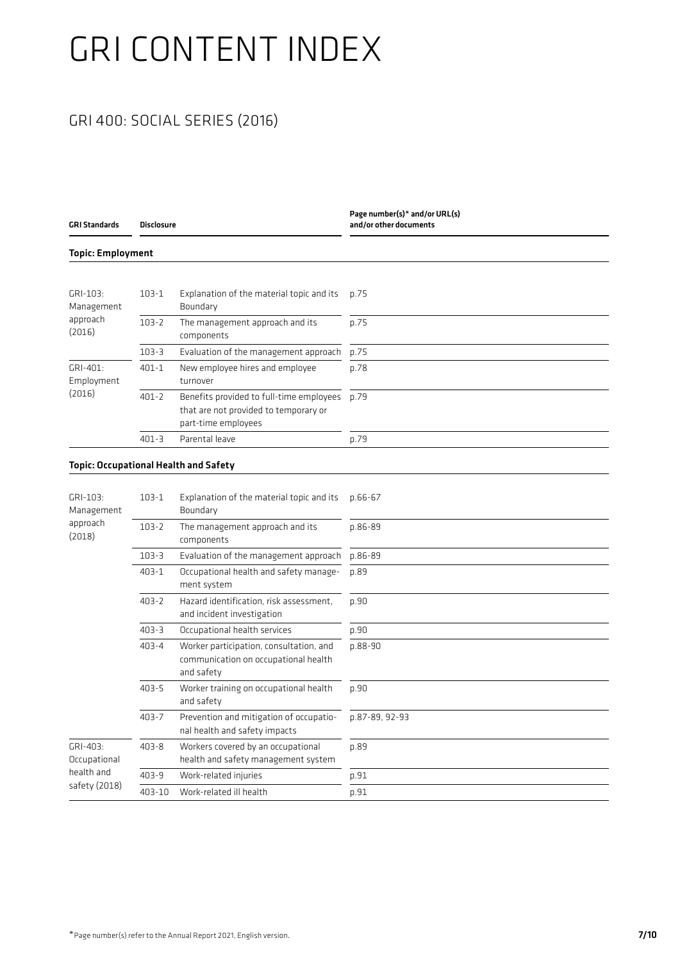### GRI 400: SOCIAL SERIES (2016)

| <b>GRI Standards</b>     | <b>Disclosure</b> |                                                                                                          | Page number(s)* and/or URL(s)<br>and/or other documents |  |
|--------------------------|-------------------|----------------------------------------------------------------------------------------------------------|---------------------------------------------------------|--|
| <b>Topic: Employment</b> |                   |                                                                                                          |                                                         |  |
|                          |                   |                                                                                                          |                                                         |  |
| GRI-103:<br>Management   | $103 - 1$         | Explanation of the material topic and its<br>Boundary                                                    | p.75                                                    |  |
| approach<br>(2016)       | $103 - 2$         | The management approach and its<br>components                                                            | p.75                                                    |  |
|                          | $103 - 3$         | Evaluation of the management approach                                                                    | p.75                                                    |  |
| GRI-401:<br>Employment   | $401 - 1$         | New employee hires and employee<br>turnover                                                              | p.78                                                    |  |
| (2016)                   | $401 - 2$         | Benefits provided to full-time employees<br>that are not provided to temporary or<br>part-time employees | p.79                                                    |  |
|                          | $401 - 3$         | Parental leave                                                                                           | p.79                                                    |  |
| GRI-103:                 | $103 - 1$         | Explanation of the material topic and its<br>Boundary                                                    | p.66-67                                                 |  |
| Management<br>approach   |                   |                                                                                                          |                                                         |  |
| (2018)                   | $103 - 2$         | The management approach and its<br>components                                                            | p.86-89                                                 |  |
|                          | $103 - 3$         | Evaluation of the management approach                                                                    | p.86-89                                                 |  |
|                          | $403 - 1$         | Occupational health and safety manage-<br>ment system                                                    | p.89                                                    |  |
|                          | $403 - 2$         | Hazard identification, risk assessment,<br>and incident investigation                                    | p.90                                                    |  |
|                          | $403 - 3$         | Occupational health services                                                                             | p.90                                                    |  |
|                          | $403 - 4$         | Worker participation, consultation, and<br>communication on occupational health<br>and safety            | p.88-90                                                 |  |
|                          | $403 - 5$         | Worker training on occupational health<br>and safety                                                     | p.90                                                    |  |
|                          | $403 - 7$         | Prevention and mitigation of occupatio-<br>nal health and safety impacts                                 | p.87-89, 92-93                                          |  |
| GRI-403:<br>Occupational | $403 - 8$         | Workers covered by an occupational<br>health and safety management system                                | p.89                                                    |  |
| health and               | $403 - 9$         | Work-related injuries                                                                                    | p.91                                                    |  |
| safety (2018)            | 403-10            | Work-related ill health                                                                                  | p.91                                                    |  |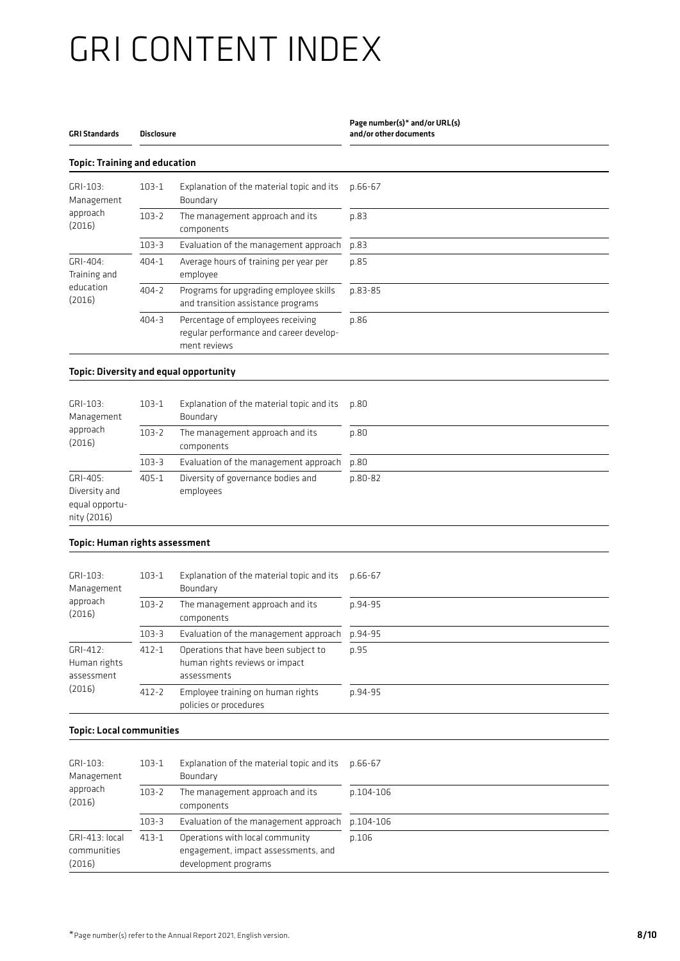#### GRI Standards Disclosure Page number(s)\* and/or URL(s) and/or other documents Topic: Training and education GRI-103: Management approach (2016) 103-1 Explanation of the material topic and its Boundary p.66-67 103-2 The management approach and its components p.83 103-3 Evaluation of the management approach p.83 GRI-404: Training and education (2016) 404-1 Average hours of training per year per employee p.85 404-2 Programs for upgrading employee skills and transition assistance programs p.83-85 404-3 Percentage of employees receiving regular performance and career development reviews p.86 Topic: Diversity and equal opportunity GRI-103: Management approach (2016) 103-1 Explanation of the material topic and its Boundary p.80 103-2 The management approach and its components p.80 103-3 Evaluation of the management approach p.80 GRI-405: Diversity and equal opportunity (2016) 405-1 Diversity of governance bodies and employees p.80-82 Topic: Human rights assessment GRI-103: Management approach (2016) 103-1 Explanation of the material topic and its Boundary p.66-67 103-2 The management approach and its components p.94-95 103-3 Evaluation of the management approach p.94-95 GRI-412: Human rights assessment (2016) 412-1 Operations that have been subject to human rights reviews or impact assessments p.95 412-2 Employee training on human rights policies or procedures p.94-95 Topic: Local communities GRI-103: Management approach (2016) 103-1 Explanation of the material topic and its Boundary p.66-67 103-2 The management approach and its components p.104-106 103-3 Evaluation of the management approach p.104-106 GRI-413: local 413-1 Operations with local community p.106

engagement, impact assessments, and

development programs

communities (2016)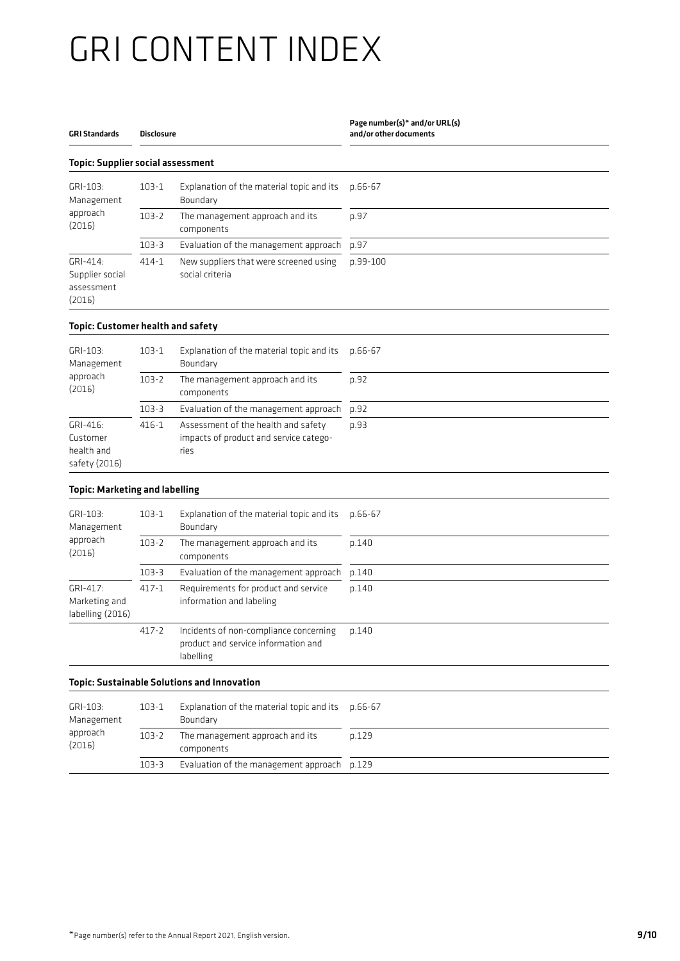#### GRI Standards Disclosure Page number(s)\* and/or URL(s) and/or other documents Topic: Supplier social assessment GRI-103: Management approach (2016) 103-1 Explanation of the material topic and its Boundary p.66-67 103-2 The management approach and its components p.97 103-3 Evaluation of the management approach p.97 GRI-414: Supplier social assessment (2016) 414-1 New suppliers that were screened using social criteria p.99-100 Topic: Customer health and safety

| GRI-103:<br>Management                              | $103 - 1$ | Explanation of the material topic and its<br>Boundary                                 | p.66-67 |
|-----------------------------------------------------|-----------|---------------------------------------------------------------------------------------|---------|
| approach<br>(2016)                                  | $103 - 2$ | The management approach and its<br>components                                         | p.92    |
|                                                     | $103 - 3$ | Evaluation of the management approach                                                 | p.92    |
| GRI-416:<br>Customer<br>health and<br>safety (2016) | $416 - 1$ | Assessment of the health and safety<br>impacts of product and service catego-<br>ries | p.93    |

#### Topic: Marketing and labelling

| GRI-103:<br>Management                        | $103 - 1$ | Explanation of the material topic and its<br>Boundary                                      | $p.66 - 67$ |
|-----------------------------------------------|-----------|--------------------------------------------------------------------------------------------|-------------|
| approach<br>(2016)                            | $103 - 2$ | The management approach and its<br>components                                              | p.140       |
|                                               | $103 - 3$ | Evaluation of the management approach                                                      | p.140       |
| GRI-417:<br>Marketing and<br>labelling (2016) | $417 - 1$ | Requirements for product and service<br>information and labeling                           | p.140       |
|                                               | $417 - 2$ | Incidents of non-compliance concerning<br>product and service information and<br>labelling | p.140       |
|                                               |           | <b>Topic: Sustainable Solutions and Innovation</b>                                         |             |
| GRI-103:<br>Management                        | $103 - 1$ | Explanation of the material topic and its<br>Boundary                                      | $p.66 - 67$ |
| approach<br>(2016)                            | $103 - 2$ | The management approach and its<br><b>COMPODENTS</b>                                       | p.129       |

components

103-3 Evaluation of the management approach p.129